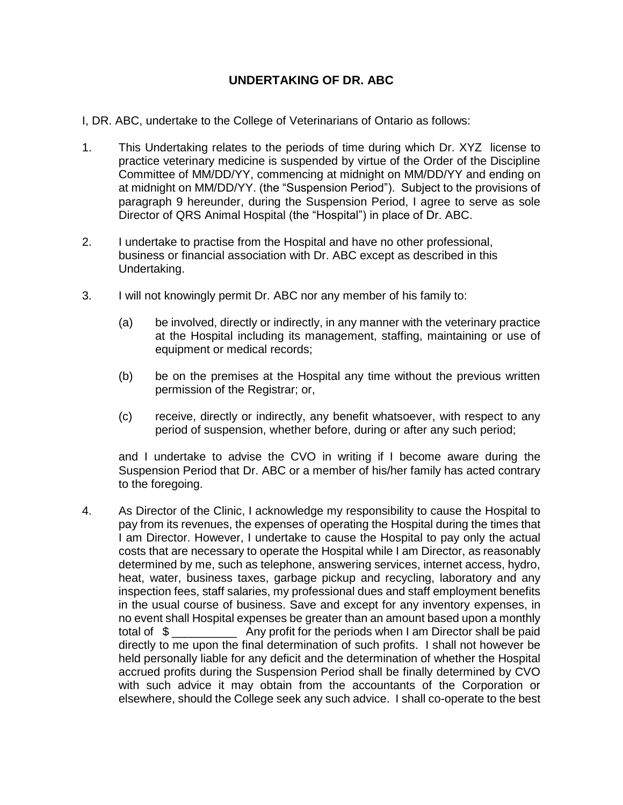## **UNDERTAKING OF DR. ABC**

- I, DR. ABC, undertake to the College of Veterinarians of Ontario as follows:
- 1. This Undertaking relates to the periods of time during which Dr. XYZ license to practice veterinary medicine is suspended by virtue of the Order of the Discipline Committee of MM/DD/YY, commencing at midnight on MM/DD/YY and ending on at midnight on MM/DD/YY. (the "Suspension Period"). Subject to the provisions of paragraph 9 hereunder, during the Suspension Period, I agree to serve as sole Director of QRS Animal Hospital (the "Hospital") in place of Dr. ABC.
- 2. I undertake to practise from the Hospital and have no other professional, business or financial association with Dr. ABC except as described in this Undertaking.
- 3. I will not knowingly permit Dr. ABC nor any member of his family to:
	- (a) be involved, directly or indirectly, in any manner with the veterinary practice at the Hospital including its management, staffing, maintaining or use of equipment or medical records;
	- (b) be on the premises at the Hospital any time without the previous written permission of the Registrar; or,
	- (c) receive, directly or indirectly, any benefit whatsoever, with respect to any period of suspension, whether before, during or after any such period;

and I undertake to advise the CVO in writing if I become aware during the Suspension Period that Dr. ABC or a member of his/her family has acted contrary to the foregoing.

4. As Director of the Clinic, I acknowledge my responsibility to cause the Hospital to pay from its revenues, the expenses of operating the Hospital during the times that I am Director. However, I undertake to cause the Hospital to pay only the actual costs that are necessary to operate the Hospital while I am Director, as reasonably determined by me, such as telephone, answering services, internet access, hydro, heat, water, business taxes, garbage pickup and recycling, laboratory and any inspection fees, staff salaries, my professional dues and staff employment benefits in the usual course of business. Save and except for any inventory expenses, in no event shall Hospital expenses be greater than an amount based upon a monthly total of \$ \_\_\_\_\_\_\_\_\_\_ Any profit for the periods when I am Director shall be paid directly to me upon the final determination of such profits. I shall not however be held personally liable for any deficit and the determination of whether the Hospital accrued profits during the Suspension Period shall be finally determined by CVO with such advice it may obtain from the accountants of the Corporation or elsewhere, should the College seek any such advice. I shall co-operate to the best